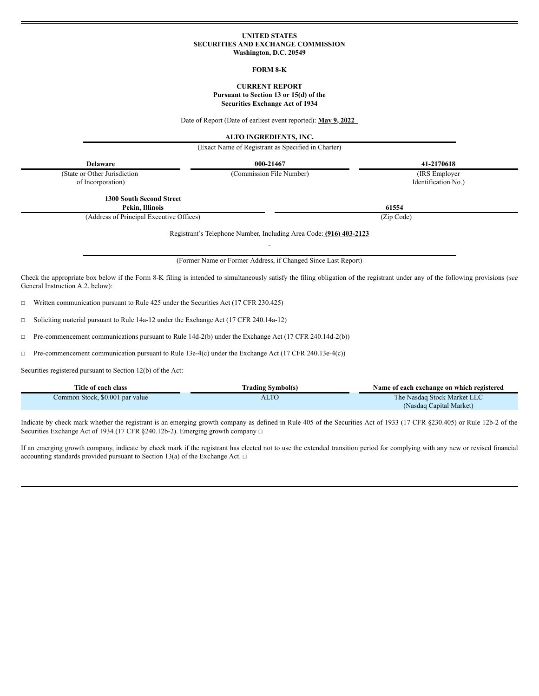## **UNITED STATES SECURITIES AND EXCHANGE COMMISSION Washington, D.C. 20549**

#### **FORM 8-K**

## **CURRENT REPORT Pursuant to Section 13 or 15(d) of the Securities Exchange Act of 1934**

Date of Report (Date of earliest event reported): **May 9, 2022**

**ALTO INGREDIENTS, INC.**

(Exact Name of Registrant as Specified in Charter)

| <b>Delaware</b>                                                                                                                                                                                                     | 000-21467                                                          | 41-2170618                            |
|---------------------------------------------------------------------------------------------------------------------------------------------------------------------------------------------------------------------|--------------------------------------------------------------------|---------------------------------------|
| (State or Other Jurisdiction<br>of Incorporation)                                                                                                                                                                   | (Commission File Number)                                           | (IRS Employer)<br>Identification No.) |
| <b>1300 South Second Street</b><br>Pekin, Illinois                                                                                                                                                                  |                                                                    | 61554                                 |
| (Address of Principal Executive Offices)                                                                                                                                                                            |                                                                    | (Zip Code)                            |
|                                                                                                                                                                                                                     | Registrant's Telephone Number, Including Area Code: (916) 403-2123 |                                       |
|                                                                                                                                                                                                                     | (Former Name or Former Address, if Changed Since Last Report)      |                                       |
| Check the appropriate box below if the Form 8-K filing is intended to simultaneously satisfy the filing obligation of the registrant under any of the following provisions (see<br>General Instruction A.2. below): |                                                                    |                                       |
| Written communication pursuant to Rule 425 under the Securities Act (17 CFR 230.425)<br>$\Box$                                                                                                                      |                                                                    |                                       |

☐ Soliciting material pursuant to Rule 14a-12 under the Exchange Act (17 CFR 240.14a-12)

☐ Pre-commencement communications pursuant to Rule 14d-2(b) under the Exchange Act (17 CFR 240.14d-2(b))

☐ Pre-commencement communication pursuant to Rule 13e-4(c) under the Exchange Act (17 CFR 240.13e-4(c))

Securities registered pursuant to Section 12(b) of the Act:

| Title of each class             | <b>Trading Symbol(s)</b> | Name of each exchange on which registered |
|---------------------------------|--------------------------|-------------------------------------------|
| Common Stock, \$0.001 par value | <b>ALTO</b>              | The Nasdag Stock Market LLC               |
|                                 |                          | (Nasdaq Capital Market)                   |

Indicate by check mark whether the registrant is an emerging growth company as defined in Rule 405 of the Securities Act of 1933 (17 CFR §230.405) or Rule 12b-2 of the Securities Exchange Act of 1934 (17 CFR §240.12b-2). Emerging growth company □

If an emerging growth company, indicate by check mark if the registrant has elected not to use the extended transition period for complying with any new or revised financial accounting standards provided pursuant to Section 13(a) of the Exchange Act.  $\Box$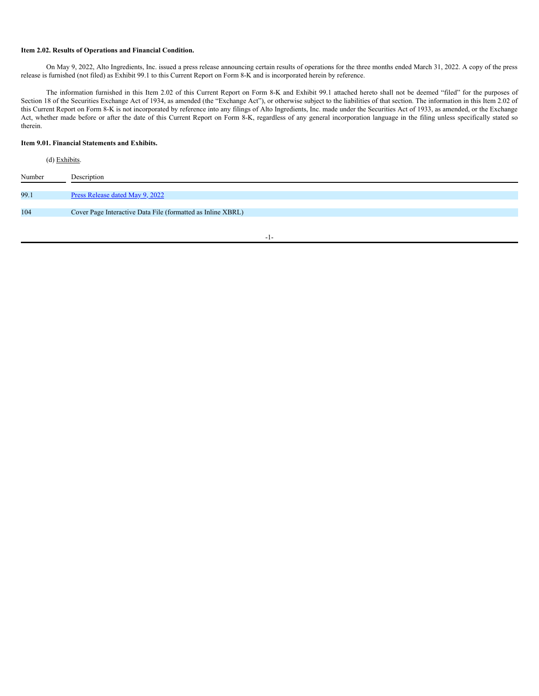#### **Item 2.02. Results of Operations and Financial Condition.**

On May 9, 2022, Alto Ingredients, Inc. issued a press release announcing certain results of operations for the three months ended March 31, 2022. A copy of the press release is furnished (not filed) as Exhibit 99.1 to this Current Report on Form 8-K and is incorporated herein by reference.

The information furnished in this Item 2.02 of this Current Report on Form 8-K and Exhibit 99.1 attached hereto shall not be deemed "filed" for the purposes of Section 18 of the Securities Exchange Act of 1934, as amended (the "Exchange Act"), or otherwise subject to the liabilities of that section. The information in this Item 2.02 of this Current Report on Form 8-K is not incorporated by reference into any filings of Alto Ingredients, Inc. made under the Securities Act of 1933, as amended, or the Exchange Act, whether made before or after the date of this Current Report on Form 8-K, regardless of any general incorporation language in the filing unless specifically stated so therein.

# **Item 9.01. Financial Statements and Exhibits.**

| (d) Exhibits. |                                                             |
|---------------|-------------------------------------------------------------|
| Number        | Description                                                 |
| 99.1          | Press Release dated May 9, 2022                             |
| 104           | Cover Page Interactive Data File (formatted as Inline XBRL) |

-1-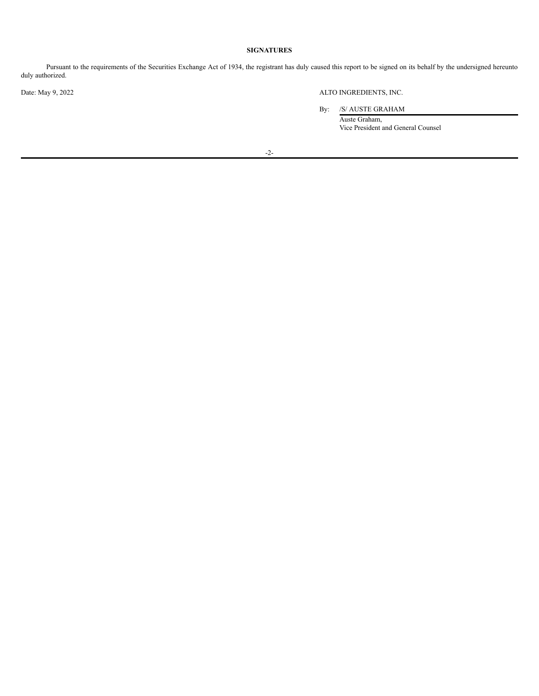# **SIGNATURES**

Pursuant to the requirements of the Securities Exchange Act of 1934, the registrant has duly caused this report to be signed on its behalf by the undersigned hereunto duly authorized.

Date: May 9, 2022 ALTO INGREDIENTS, INC.

By: /S/ AUSTE GRAHAM

Auste Graham, Vice President and General Counsel

-2-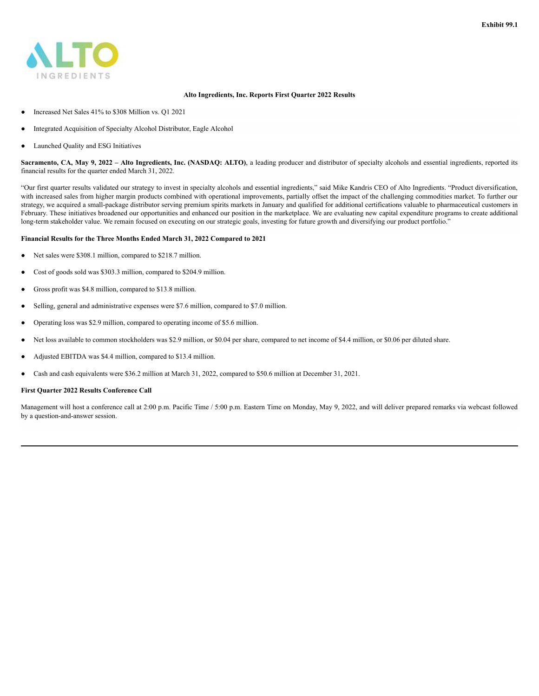

## **Alto Ingredients, Inc. Reports First Quarter 2022 Results**

- Increased Net Sales 41% to \$308 Million vs. Q1 2021
- Integrated Acquisition of Specialty Alcohol Distributor, Eagle Alcohol
- Launched Quality and ESG Initiatives

Sacramento, CA, May 9, 2022 - Alto Ingredients, Inc. (NASDAQ: ALTO), a leading producer and distributor of specialty alcohols and essential ingredients, reported its financial results for the quarter ended March 31, 2022.

"Our first quarter results validated our strategy to invest in specialty alcohols and essential ingredients," said Mike Kandris CEO of Alto Ingredients. "Product diversification, with increased sales from higher margin products combined with operational improvements, partially offset the impact of the challenging commodities market. To further our strategy, we acquired a small-package distributor serving premium spirits markets in January and qualified for additional certifications valuable to pharmaceutical customers in February. These initiatives broadened our opportunities and enhanced our position in the marketplace. We are evaluating new capital expenditure programs to create additional long-term stakeholder value. We remain focused on executing on our strategic goals, investing for future growth and diversifying our product portfolio."

## **Financial Results for the Three Months Ended March 31, 2022 Compared to 2021**

- Net sales were \$308.1 million, compared to \$218.7 million.
- Cost of goods sold was \$303.3 million, compared to \$204.9 million.
- Gross profit was \$4.8 million, compared to \$13.8 million.
- Selling, general and administrative expenses were \$7.6 million, compared to \$7.0 million.
- Operating loss was \$2.9 million, compared to operating income of \$5.6 million.
- Net loss available to common stockholders was \$2.9 million, or \$0.04 per share, compared to net income of \$4.4 million, or \$0.06 per diluted share.
- Adjusted EBITDA was \$4.4 million, compared to \$13.4 million.
- Cash and cash equivalents were \$36.2 million at March 31, 2022, compared to \$50.6 million at December 31, 2021.

# **First Quarter 2022 Results Conference Call**

Management will host a conference call at 2:00 p.m. Pacific Time / 5:00 p.m. Eastern Time on Monday, May 9, 2022, and will deliver prepared remarks via webcast followed by a question-and-answer session.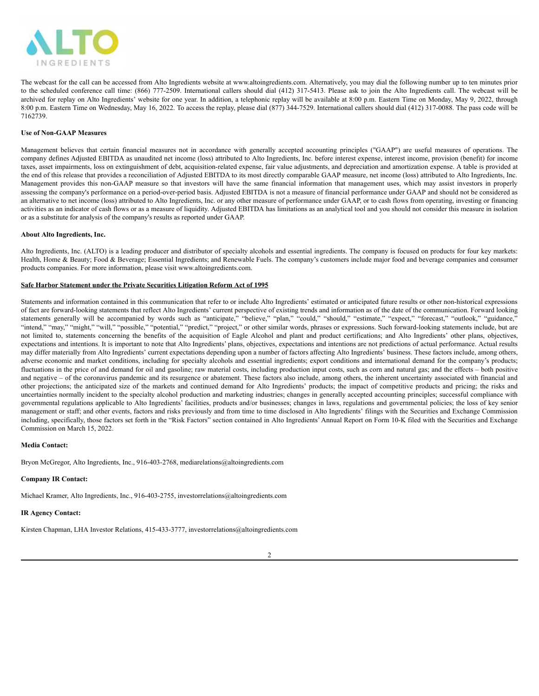

The webcast for the call can be accessed from Alto Ingredients website at www.altoingredients.com. Alternatively, you may dial the following number up to ten minutes prior to the scheduled conference call time: (866) 777-2509. International callers should dial (412) 317-5413. Please ask to join the Alto Ingredients call. The webcast will be archived for replay on Alto Ingredients' website for one year. In addition, a telephonic replay will be available at 8:00 p.m. Eastern Time on Monday, May 9, 2022, through 8:00 p.m. Eastern Time on Wednesday, May 16, 2022. To access the replay, please dial (877) 344-7529. International callers should dial (412) 317-0088. The pass code will be 7162739.

#### **Use of Non-GAAP Measures**

Management believes that certain financial measures not in accordance with generally accepted accounting principles ("GAAP") are useful measures of operations. The company defines Adjusted EBITDA as unaudited net income (loss) attributed to Alto Ingredients, Inc. before interest expense, interest income, provision (benefit) for income taxes, asset impairments, loss on extinguishment of debt, acquisition-related expense, fair value adjustments, and depreciation and amortization expense. A table is provided at the end of this release that provides a reconciliation of Adjusted EBITDA to its most directly comparable GAAP measure, net income (loss) attributed to Alto Ingredients, Inc. Management provides this non-GAAP measure so that investors will have the same financial information that management uses, which may assist investors in properly assessing the company's performance on a period-over-period basis. Adjusted EBITDA is not a measure of financial performance under GAAP and should not be considered as an alternative to net income (loss) attributed to Alto Ingredients, Inc. or any other measure of performance under GAAP, or to cash flows from operating, investing or financing activities as an indicator of cash flows or as a measure of liquidity. Adjusted EBITDA has limitations as an analytical tool and you should not consider this measure in isolation or as a substitute for analysis of the company's results as reported under GAAP.

#### **About Alto Ingredients, Inc.**

Alto Ingredients, Inc. (ALTO) is a leading producer and distributor of specialty alcohols and essential ingredients. The company is focused on products for four key markets: Health, Home & Beauty; Food & Beverage; Essential Ingredients; and Renewable Fuels. The company's customers include major food and beverage companies and consumer products companies. For more information, please visit www.altoingredients.com.

#### **Safe Harbor Statement under the Private Securities Litigation Reform Act of 1995**

Statements and information contained in this communication that refer to or include Alto Ingredients' estimated or anticipated future results or other non-historical expressions of fact are forward-looking statements that reflect Alto Ingredients' current perspective of existing trends and information as of the date of the communication. Forward looking statements generally will be accompanied by words such as "anticipate," "believe," "plan," "could," "should," "estimate," "expect," "forecast," "outlook," "guidance," "intend," "may," "might," "will," "possible," "potential," "predict," "project," or other similar words, phrases or expressions. Such forward-looking statements include, but are not limited to, statements concerning the benefits of the acquisition of Eagle Alcohol and plant and product certifications; and Alto Ingredients' other plans, objectives, expectations and intentions. It is important to note that Alto Ingredients' plans, objectives, expectations and intentions are not predictions of actual performance. Actual results may differ materially from Alto Ingredients' current expectations depending upon a number of factors affecting Alto Ingredients' business. These factors include, among others, adverse economic and market conditions, including for specialty alcohols and essential ingredients; export conditions and international demand for the company's products; fluctuations in the price of and demand for oil and gasoline; raw material costs, including production input costs, such as corn and natural gas; and the effects – both positive and negative – of the coronavirus pandemic and its resurgence or abatement. These factors also include, among others, the inherent uncertainty associated with financial and other projections; the anticipated size of the markets and continued demand for Alto Ingredients' products; the impact of competitive products and pricing; the risks and uncertainties normally incident to the specialty alcohol production and marketing industries; changes in generally accepted accounting principles; successful compliance with governmental regulations applicable to Alto Ingredients' facilities, products and/or businesses; changes in laws, regulations and governmental policies; the loss of key senior management or staff; and other events, factors and risks previously and from time to time disclosed in Alto Ingredients' filings with the Securities and Exchange Commission including, specifically, those factors set forth in the "Risk Factors" section contained in Alto Ingredients' Annual Report on Form 10-K filed with the Securities and Exchange Commission on March 15, 2022.

#### **Media Contact:**

Bryon McGregor, Alto Ingredients, Inc., 916-403-2768, mediarelations@altoingredients.com

# **Company IR Contact:**

Michael Kramer, Alto Ingredients, Inc., 916-403-2755, investorrelations@altoingredients.com

# **IR Agency Contact:**

Kirsten Chapman, LHA Investor Relations, 415-433-3777, investorrelations@altoingredients.com

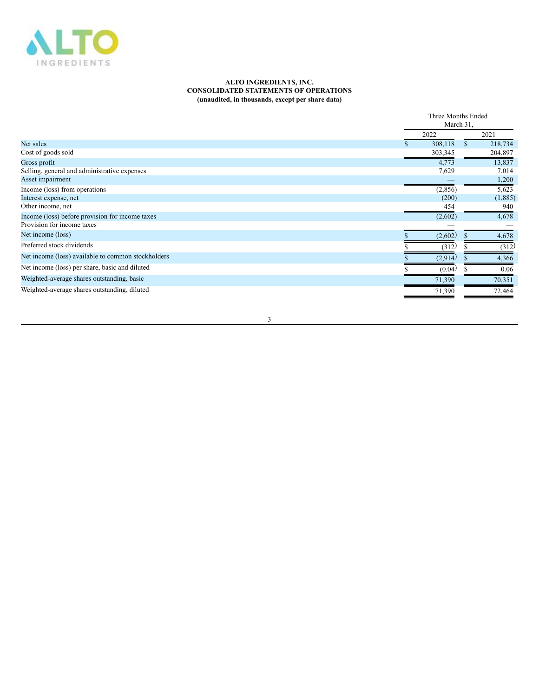

## **ALTO INGREDIENTS, INC. CONSOLIDATED STATEMENTS OF OPERATIONS (unaudited, in thousands, except per share data)**

|                                                    | Three Months Ended<br>March 31. |    |         |
|----------------------------------------------------|---------------------------------|----|---------|
|                                                    | 2022                            |    | 2021    |
| Net sales                                          | 308,118                         | \$ | 218,734 |
| Cost of goods sold                                 | 303,345                         |    | 204,897 |
| Gross profit                                       | 4,773                           |    | 13,837  |
| Selling, general and administrative expenses       | 7,629                           |    | 7,014   |
| Asset impairment                                   |                                 |    | 1,200   |
| Income (loss) from operations                      | (2, 856)                        |    | 5,623   |
| Interest expense, net                              | (200)                           |    | (1,885) |
| Other income, net                                  | 454                             |    | 940     |
| Income (loss) before provision for income taxes    | (2,602)                         |    | 4,678   |
| Provision for income taxes                         |                                 |    |         |
| Net income (loss)                                  | (2,602)                         |    | 4,678   |
| Preferred stock dividends                          | (312)                           |    | (312)   |
| Net income (loss) available to common stockholders | (2,914)                         |    | 4,366   |
| Net income (loss) per share, basic and diluted     | (0.04)                          |    | 0.06    |
| Weighted-average shares outstanding, basic         | 71,390                          |    | 70,351  |
| Weighted-average shares outstanding, diluted       | 71,390                          |    | 72,464  |

3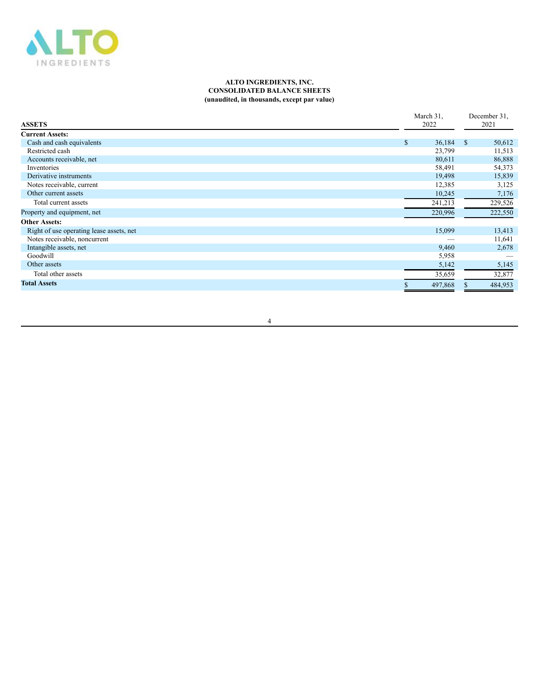

#### **ALTO INGREDIENTS, INC. CONSOLIDATED BALANCE SHEETS (unaudited, in thousands, except par value)**

|                                          | March 31.    |               | December 31, |  |
|------------------------------------------|--------------|---------------|--------------|--|
| <b>ASSETS</b>                            | 2022         |               | 2021         |  |
| <b>Current Assets:</b>                   |              |               |              |  |
| Cash and cash equivalents                | \$<br>36,184 | <sup>\$</sup> | 50,612       |  |
| Restricted cash                          | 23,799       |               | 11,513       |  |
| Accounts receivable, net                 | 80,611       |               | 86,888       |  |
| Inventories                              | 58,491       |               | 54,373       |  |
| Derivative instruments                   | 19,498       |               | 15,839       |  |
| Notes receivable, current                | 12,385       |               | 3,125        |  |
| Other current assets                     | 10,245       |               | 7,176        |  |
| Total current assets                     | 241,213      |               | 229,526      |  |
| Property and equipment, net              | 220,996      |               | 222,550      |  |
| <b>Other Assets:</b>                     |              |               |              |  |
| Right of use operating lease assets, net | 15,099       |               | 13,413       |  |
| Notes receivable, noncurrent             |              |               | 11,641       |  |
| Intangible assets, net                   | 9,460        |               | 2,678        |  |
| Goodwill                                 | 5,958        |               |              |  |
| Other assets                             | 5,142        |               | 5,145        |  |
| Total other assets                       | 35,659       |               | 32,877       |  |
| <b>Total Assets</b>                      | 497,868      |               | 484,953      |  |

4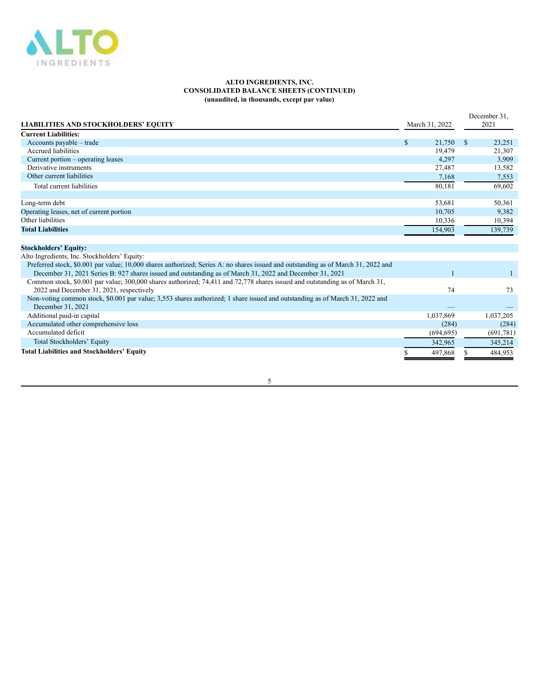

#### **ALTO INGREDIENTS, INC. CONSOLIDATED BALANCE SHEETS (CONTINUED) (unaudited, in thousands, except par value)**

|                                                                                                                                   |              |                |               | December 31. |
|-----------------------------------------------------------------------------------------------------------------------------------|--------------|----------------|---------------|--------------|
| <b>LIABILITIES AND STOCKHOLDERS' EQUITY</b>                                                                                       |              | March 31, 2022 |               | 2021         |
| <b>Current Liabilities:</b>                                                                                                       |              |                |               |              |
| Accounts payable – trade                                                                                                          | $\mathbb{S}$ | 21,750         | <sup>\$</sup> | 23,251       |
| Accrued liabilities                                                                                                               |              | 19,479         |               | 21,307       |
| Current portion – operating leases                                                                                                |              | 4,297          |               | 3,909        |
| Derivative instruments                                                                                                            |              | 27,487         |               | 13,582       |
| Other current liabilities                                                                                                         |              | 7,168          |               | 7,553        |
| Total current liabilities                                                                                                         |              | 80,181         |               | 69,602       |
|                                                                                                                                   |              |                |               |              |
| Long-term debt                                                                                                                    |              | 53,681         |               | 50,361       |
| Operating leases, net of current portion                                                                                          |              | 10,705         |               | 9,382        |
| Other liabilities                                                                                                                 |              | 10,336         |               | 10,394       |
| <b>Total Liabilities</b>                                                                                                          |              | 154,903        |               | 139,739      |
|                                                                                                                                   |              |                |               |              |
| <b>Stockholders' Equity:</b>                                                                                                      |              |                |               |              |
| Alto Ingredients, Inc. Stockholders' Equity:                                                                                      |              |                |               |              |
| Preferred stock, \$0.001 par value; 10,000 shares authorized; Series A: no shares issued and outstanding as of March 31, 2022 and |              |                |               |              |
| December 31, 2021 Series B: 927 shares issued and outstanding as of March 31, 2022 and December 31, 2021                          |              |                |               |              |
| Common stock, \$0.001 par value; 300,000 shares authorized; 74,411 and 72,778 shares issued and outstanding as of March 31,       |              |                |               |              |
| 2022 and December 31, 2021, respectively                                                                                          |              | 74             |               | 73           |
| Non-voting common stock, \$0.001 par value; 3,553 shares authorized; 1 share issued and outstanding as of March 31, 2022 and      |              |                |               |              |
| December 31, 2021                                                                                                                 |              |                |               |              |
| Additional paid-in capital                                                                                                        |              | 1,037,869      |               | 1,037,205    |
| Accumulated other comprehensive loss                                                                                              |              | (284)          |               | (284)        |
| Accumulated deficit                                                                                                               |              | (694, 695)     |               | (691,781)    |
| Total Stockholders' Equity                                                                                                        |              | 342,965        |               | 345,214      |
| <b>Total Liabilities and Stockholders' Equity</b>                                                                                 |              | 497,868        |               | 484,953      |

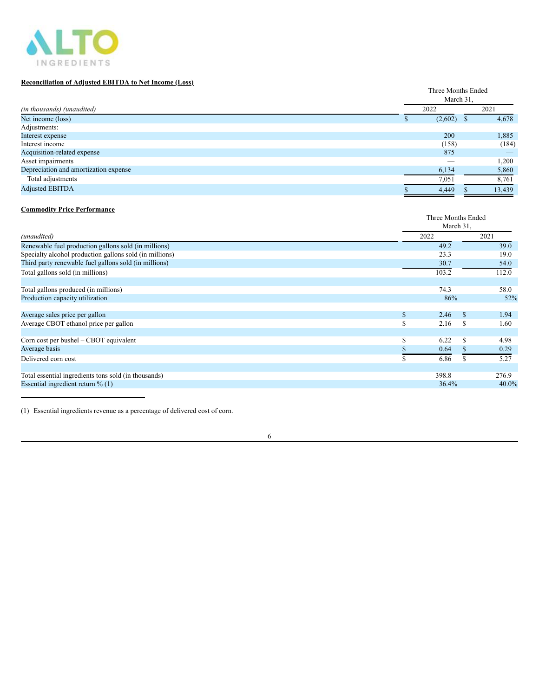

# **Reconciliation of Adjusted EBITDA to Net Income (Loss)**

| 2021<br>(in thousands) (unaudited)<br>2022<br>Net income (loss)<br>(2,602)<br>Adjustments:<br>200<br>Interest expense<br>Interest income<br>(158)<br>Acquisition-related expense<br>875 | Three Months Ended<br>March 31. |  |  |  |
|-----------------------------------------------------------------------------------------------------------------------------------------------------------------------------------------|---------------------------------|--|--|--|
|                                                                                                                                                                                         |                                 |  |  |  |
|                                                                                                                                                                                         | 4,678                           |  |  |  |
|                                                                                                                                                                                         |                                 |  |  |  |
|                                                                                                                                                                                         | 1,885                           |  |  |  |
|                                                                                                                                                                                         | (184)                           |  |  |  |
|                                                                                                                                                                                         |                                 |  |  |  |
| Asset impairments                                                                                                                                                                       | 1,200                           |  |  |  |
| Depreciation and amortization expense<br>6,134                                                                                                                                          | 5,860                           |  |  |  |
| Total adjustments<br>7,051                                                                                                                                                              | 8,761                           |  |  |  |
| <b>Adjusted EBITDA</b><br>13,439<br>4,449                                                                                                                                               |                                 |  |  |  |

# **Commodity Price Performance**

|                                                         |    | Three Months Ended<br>March 31, |               |          |  |  |  |
|---------------------------------------------------------|----|---------------------------------|---------------|----------|--|--|--|
| (unaudited)                                             |    | 2022                            |               | 2021     |  |  |  |
| Renewable fuel production gallons sold (in millions)    |    | 49.2                            |               | 39.0     |  |  |  |
| Specialty alcohol production gallons sold (in millions) |    | 23.3                            |               | 19.0     |  |  |  |
| Third party renewable fuel gallons sold (in millions)   |    | 30.7                            |               | 54.0     |  |  |  |
| Total gallons sold (in millions)                        |    | 103.2                           |               | 112.0    |  |  |  |
| Total gallons produced (in millions)                    |    | 74.3                            |               | 58.0     |  |  |  |
| Production capacity utilization                         |    | 86%                             |               | 52%      |  |  |  |
| Average sales price per gallon                          | \$ | 2.46                            | <sup>\$</sup> | 1.94     |  |  |  |
| Average CBOT ethanol price per gallon                   | \$ | 2.16                            | S             | 1.60     |  |  |  |
| Corn cost per bushel – CBOT equivalent                  | ъ. | 6.22                            | \$.           | 4.98     |  |  |  |
| Average basis                                           |    | 0.64                            |               | 0.29     |  |  |  |
| Delivered corn cost                                     |    | 6.86                            |               | 5.27     |  |  |  |
| Total essential ingredients tons sold (in thousands)    |    | 398.8                           |               | 276.9    |  |  |  |
| Essential ingredient return $\%$ (1)                    |    | 36.4%                           |               | $40.0\%$ |  |  |  |

(1) Essential ingredients revenue as a percentage of delivered cost of corn.